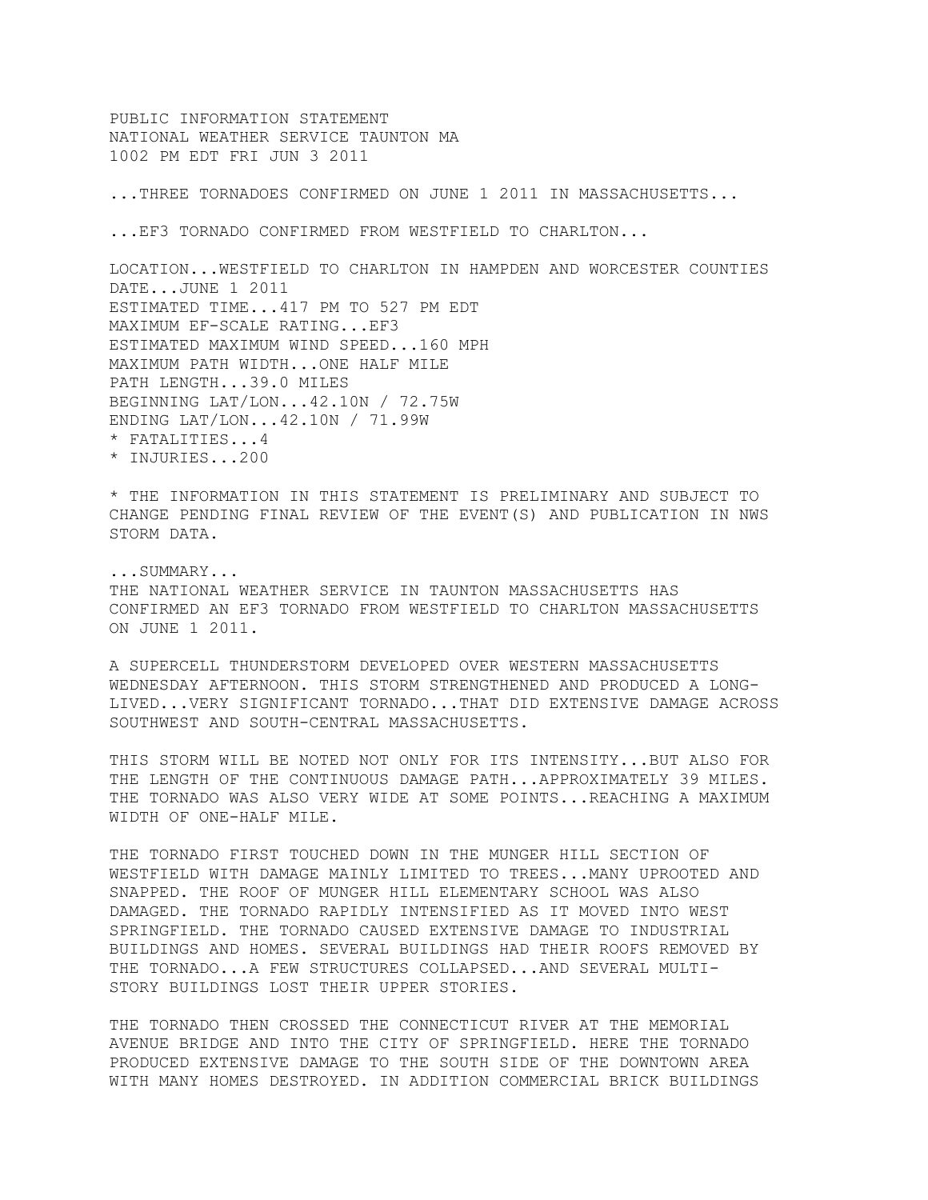PUBLIC INFORMATION STATEMENT NATIONAL WEATHER SERVICE TAUNTON MA 1002 PM EDT FRI JUN 3 2011

...THREE TORNADOES CONFIRMED ON JUNE 1 2011 IN MASSACHUSETTS...

...EF3 TORNADO CONFIRMED FROM WESTFIELD TO CHARLTON...

LOCATION...WESTFIELD TO CHARLTON IN HAMPDEN AND WORCESTER COUNTIES DATE...JUNE 1 2011 ESTIMATED TIME...417 PM TO 527 PM EDT MAXIMUM EF-SCALE RATING...EF3 ESTIMATED MAXIMUM WIND SPEED...160 MPH MAXIMUM PATH WIDTH...ONE HALF MILE PATH LENGTH...39.0 MILES BEGINNING LAT/LON...42.10N / 72.75W ENDING LAT/LON...42.10N / 71.99W \* FATALITIES...4 \* INJURIES...200

\* THE INFORMATION IN THIS STATEMENT IS PRELIMINARY AND SUBJECT TO CHANGE PENDING FINAL REVIEW OF THE EVENT(S) AND PUBLICATION IN NWS STORM DATA.

...SUMMARY... THE NATIONAL WEATHER SERVICE IN TAUNTON MASSACHUSETTS HAS CONFIRMED AN EF3 TORNADO FROM WESTFIELD TO CHARLTON MASSACHUSETTS ON JUNE 1 2011.

A SUPERCELL THUNDERSTORM DEVELOPED OVER WESTERN MASSACHUSETTS WEDNESDAY AFTERNOON. THIS STORM STRENGTHENED AND PRODUCED A LONG-LIVED...VERY SIGNIFICANT TORNADO...THAT DID EXTENSIVE DAMAGE ACROSS SOUTHWEST AND SOUTH-CENTRAL MASSACHUSETTS.

THIS STORM WILL BE NOTED NOT ONLY FOR ITS INTENSITY...BUT ALSO FOR THE LENGTH OF THE CONTINUOUS DAMAGE PATH...APPROXIMATELY 39 MILES. THE TORNADO WAS ALSO VERY WIDE AT SOME POINTS...REACHING A MAXIMUM WIDTH OF ONE-HALF MILE.

THE TORNADO FIRST TOUCHED DOWN IN THE MUNGER HILL SECTION OF WESTFIELD WITH DAMAGE MAINLY LIMITED TO TREES...MANY UPROOTED AND SNAPPED. THE ROOF OF MUNGER HILL ELEMENTARY SCHOOL WAS ALSO DAMAGED. THE TORNADO RAPIDLY INTENSIFIED AS IT MOVED INTO WEST SPRINGFIELD. THE TORNADO CAUSED EXTENSIVE DAMAGE TO INDUSTRIAL BUILDINGS AND HOMES. SEVERAL BUILDINGS HAD THEIR ROOFS REMOVED BY THE TORNADO...A FEW STRUCTURES COLLAPSED...AND SEVERAL MULTI-STORY BUILDINGS LOST THEIR UPPER STORIES.

THE TORNADO THEN CROSSED THE CONNECTICUT RIVER AT THE MEMORIAL AVENUE BRIDGE AND INTO THE CITY OF SPRINGFIELD. HERE THE TORNADO PRODUCED EXTENSIVE DAMAGE TO THE SOUTH SIDE OF THE DOWNTOWN AREA WITH MANY HOMES DESTROYED. IN ADDITION COMMERCIAL BRICK BUILDINGS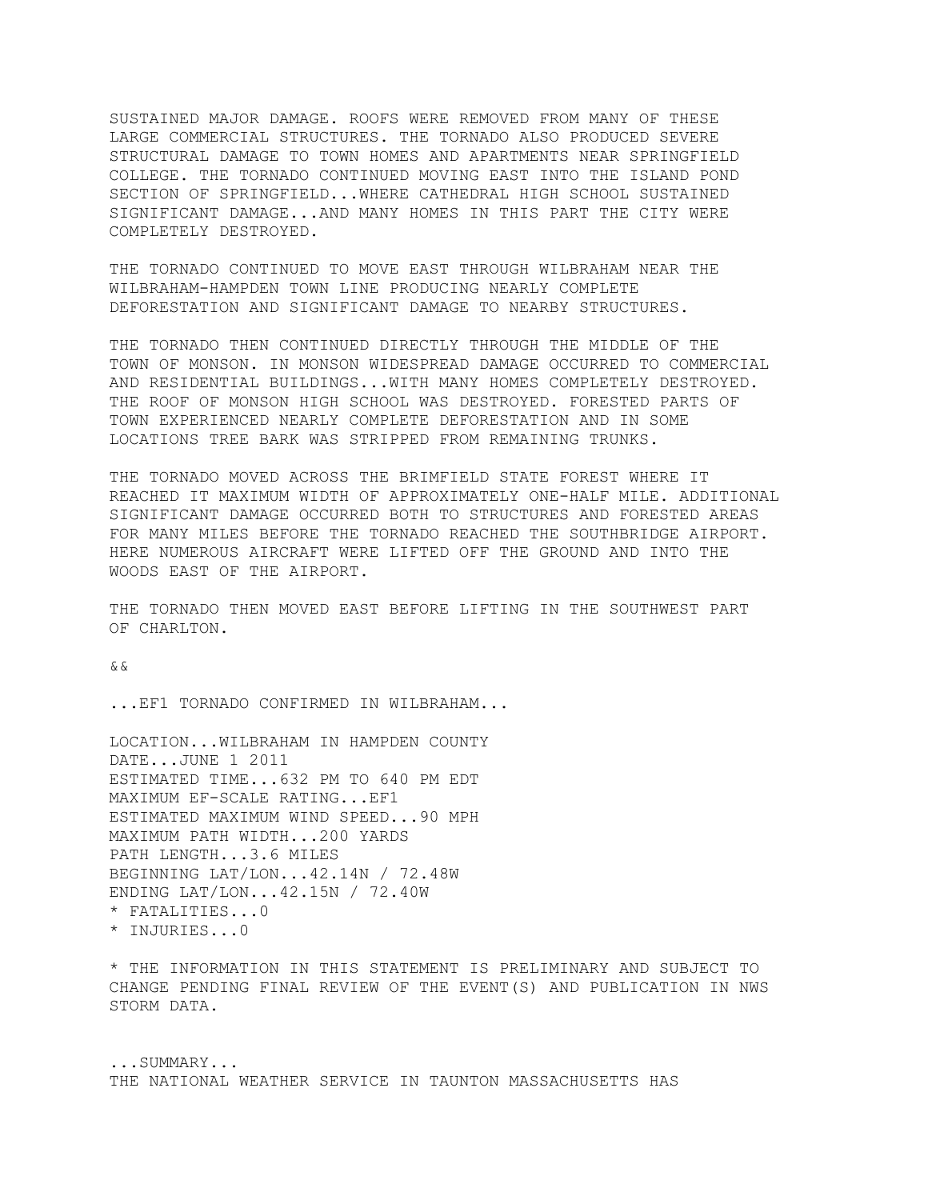SUSTAINED MAJOR DAMAGE. ROOFS WERE REMOVED FROM MANY OF THESE LARGE COMMERCIAL STRUCTURES. THE TORNADO ALSO PRODUCED SEVERE STRUCTURAL DAMAGE TO TOWN HOMES AND APARTMENTS NEAR SPRINGFIELD COLLEGE. THE TORNADO CONTINUED MOVING EAST INTO THE ISLAND POND SECTION OF SPRINGFIELD...WHERE CATHEDRAL HIGH SCHOOL SUSTAINED SIGNIFICANT DAMAGE...AND MANY HOMES IN THIS PART THE CITY WERE COMPLETELY DESTROYED.

THE TORNADO CONTINUED TO MOVE EAST THROUGH WILBRAHAM NEAR THE WILBRAHAM-HAMPDEN TOWN LINE PRODUCING NEARLY COMPLETE DEFORESTATION AND SIGNIFICANT DAMAGE TO NEARBY STRUCTURES.

THE TORNADO THEN CONTINUED DIRECTLY THROUGH THE MIDDLE OF THE TOWN OF MONSON. IN MONSON WIDESPREAD DAMAGE OCCURRED TO COMMERCIAL AND RESIDENTIAL BUILDINGS...WITH MANY HOMES COMPLETELY DESTROYED. THE ROOF OF MONSON HIGH SCHOOL WAS DESTROYED. FORESTED PARTS OF TOWN EXPERIENCED NEARLY COMPLETE DEFORESTATION AND IN SOME LOCATIONS TREE BARK WAS STRIPPED FROM REMAINING TRUNKS.

THE TORNADO MOVED ACROSS THE BRIMFIELD STATE FOREST WHERE IT REACHED IT MAXIMUM WIDTH OF APPROXIMATELY ONE-HALF MILE. ADDITIONAL SIGNIFICANT DAMAGE OCCURRED BOTH TO STRUCTURES AND FORESTED AREAS FOR MANY MILES BEFORE THE TORNADO REACHED THE SOUTHBRIDGE AIRPORT. HERE NUMEROUS AIRCRAFT WERE LIFTED OFF THE GROUND AND INTO THE WOODS EAST OF THE AIRPORT.

THE TORNADO THEN MOVED EAST BEFORE LIFTING IN THE SOUTHWEST PART OF CHARLTON.

 $\delta$ 

...EF1 TORNADO CONFIRMED IN WILBRAHAM...

LOCATION...WILBRAHAM IN HAMPDEN COUNTY DATE...JUNE 1 2011 ESTIMATED TIME...632 PM TO 640 PM EDT MAXIMUM EF-SCALE RATING...EF1 ESTIMATED MAXIMUM WIND SPEED...90 MPH MAXIMUM PATH WIDTH...200 YARDS PATH LENGTH...3.6 MILES BEGINNING LAT/LON...42.14N / 72.48W ENDING LAT/LON...42.15N / 72.40W \* FATALITIES...0 \* INJURIES...0

\* THE INFORMATION IN THIS STATEMENT IS PRELIMINARY AND SUBJECT TO CHANGE PENDING FINAL REVIEW OF THE EVENT(S) AND PUBLICATION IN NWS STORM DATA.

...SUMMARY... THE NATIONAL WEATHER SERVICE IN TAUNTON MASSACHUSETTS HAS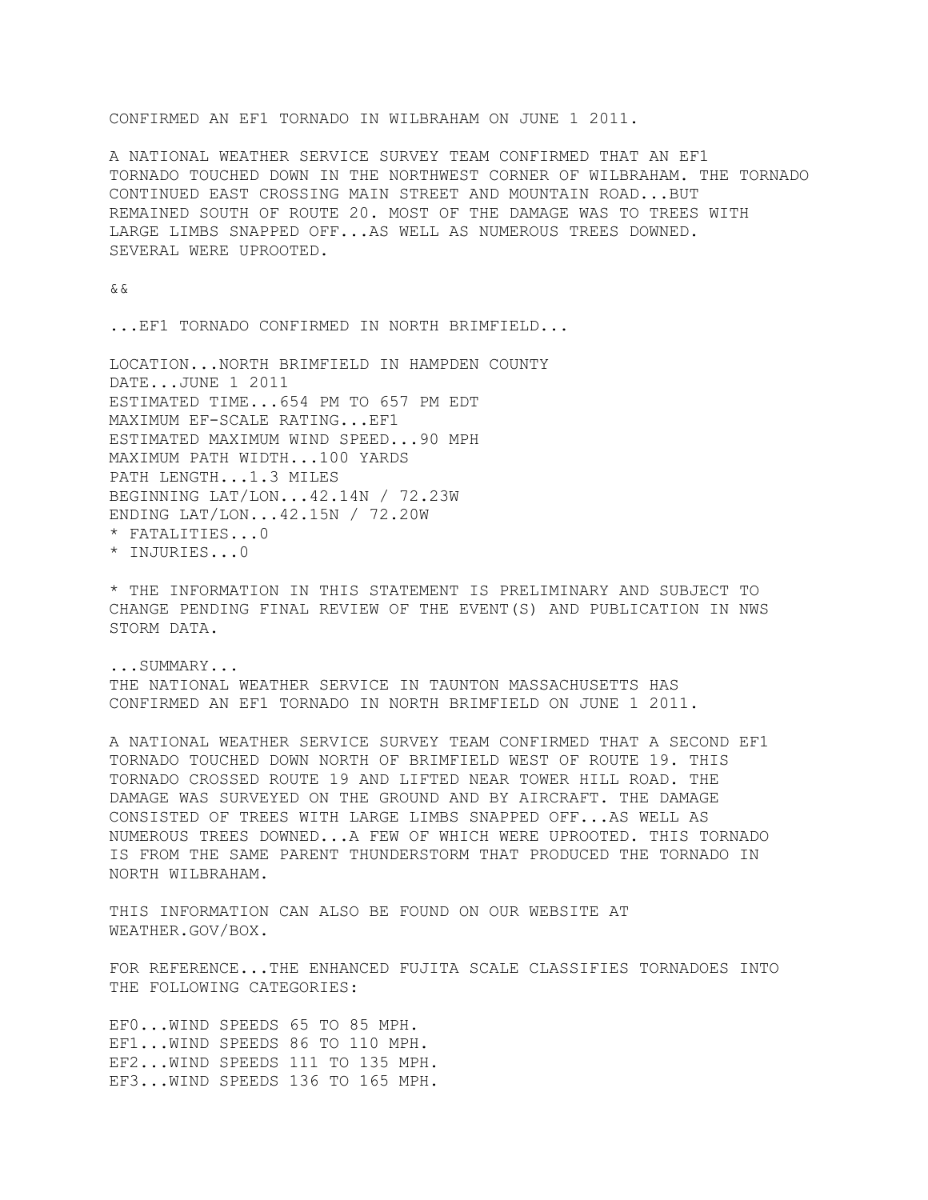CONFIRMED AN EF1 TORNADO IN WILBRAHAM ON JUNE 1 2011.

A NATIONAL WEATHER SERVICE SURVEY TEAM CONFIRMED THAT AN EF1 TORNADO TOUCHED DOWN IN THE NORTHWEST CORNER OF WILBRAHAM. THE TORNADO CONTINUED EAST CROSSING MAIN STREET AND MOUNTAIN ROAD...BUT REMAINED SOUTH OF ROUTE 20. MOST OF THE DAMAGE WAS TO TREES WITH LARGE LIMBS SNAPPED OFF...AS WELL AS NUMEROUS TREES DOWNED. SEVERAL WERE UPROOTED.

&&

...EF1 TORNADO CONFIRMED IN NORTH BRIMFIELD...

LOCATION...NORTH BRIMFIELD IN HAMPDEN COUNTY DATE...JUNE 1 2011 ESTIMATED TIME...654 PM TO 657 PM EDT MAXIMUM EF-SCALE RATING...EF1 ESTIMATED MAXIMUM WIND SPEED...90 MPH MAXIMUM PATH WIDTH...100 YARDS PATH LENGTH...1.3 MILES BEGINNING LAT/LON...42.14N / 72.23W ENDING LAT/LON...42.15N / 72.20W \* FATALITIES...0

\* INJURIES...0

\* THE INFORMATION IN THIS STATEMENT IS PRELIMINARY AND SUBJECT TO CHANGE PENDING FINAL REVIEW OF THE EVENT(S) AND PUBLICATION IN NWS STORM DATA.

...SUMMARY... THE NATIONAL WEATHER SERVICE IN TAUNTON MASSACHUSETTS HAS CONFIRMED AN EF1 TORNADO IN NORTH BRIMFIELD ON JUNE 1 2011.

A NATIONAL WEATHER SERVICE SURVEY TEAM CONFIRMED THAT A SECOND EF1 TORNADO TOUCHED DOWN NORTH OF BRIMFIELD WEST OF ROUTE 19. THIS TORNADO CROSSED ROUTE 19 AND LIFTED NEAR TOWER HILL ROAD. THE DAMAGE WAS SURVEYED ON THE GROUND AND BY AIRCRAFT. THE DAMAGE CONSISTED OF TREES WITH LARGE LIMBS SNAPPED OFF...AS WELL AS NUMEROUS TREES DOWNED...A FEW OF WHICH WERE UPROOTED. THIS TORNADO IS FROM THE SAME PARENT THUNDERSTORM THAT PRODUCED THE TORNADO IN NORTH WILBRAHAM.

THIS INFORMATION CAN ALSO BE FOUND ON OUR WEBSITE AT WEATHER.GOV/BOX.

FOR REFERENCE...THE ENHANCED FUJITA SCALE CLASSIFIES TORNADOES INTO THE FOLLOWING CATEGORIES:

EF0...WIND SPEEDS 65 TO 85 MPH. EF1...WIND SPEEDS 86 TO 110 MPH. EF2...WIND SPEEDS 111 TO 135 MPH. EF3...WIND SPEEDS 136 TO 165 MPH.